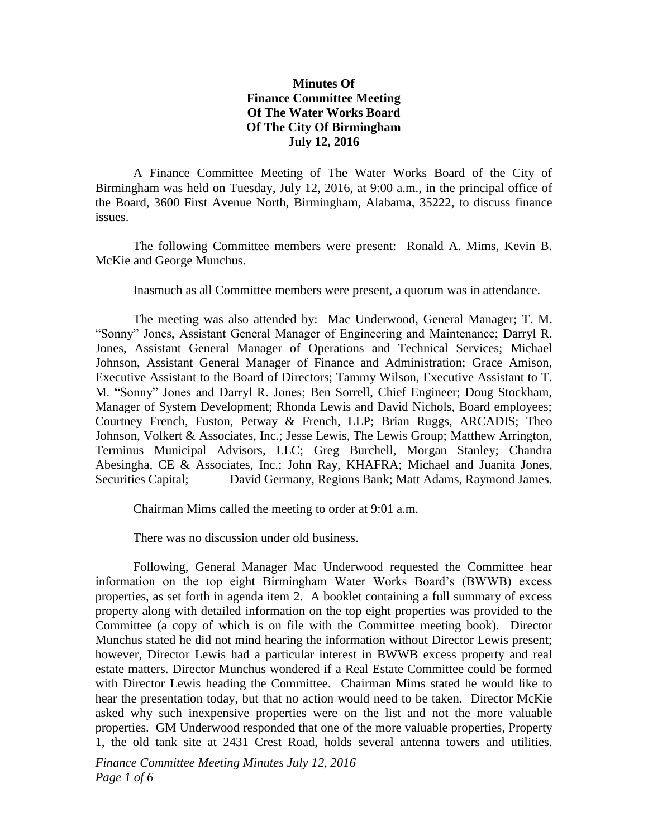## **Minutes Of Finance Committee Meeting Of The Water Works Board Of The City Of Birmingham July 12, 2016**

A Finance Committee Meeting of The Water Works Board of the City of Birmingham was held on Tuesday, July 12, 2016, at 9:00 a.m., in the principal office of the Board, 3600 First Avenue North, Birmingham, Alabama, 35222, to discuss finance issues.

The following Committee members were present: Ronald A. Mims, Kevin B. McKie and George Munchus.

Inasmuch as all Committee members were present, a quorum was in attendance.

The meeting was also attended by: Mac Underwood, General Manager; T. M. "Sonny" Jones, Assistant General Manager of Engineering and Maintenance; Darryl R. Jones, Assistant General Manager of Operations and Technical Services; Michael Johnson, Assistant General Manager of Finance and Administration; Grace Amison, Executive Assistant to the Board of Directors; Tammy Wilson, Executive Assistant to T. M. "Sonny" Jones and Darryl R. Jones; Ben Sorrell, Chief Engineer; Doug Stockham, Manager of System Development; Rhonda Lewis and David Nichols, Board employees; Courtney French, Fuston, Petway & French, LLP; Brian Ruggs, ARCADIS; Theo Johnson, Volkert & Associates, Inc.; Jesse Lewis, The Lewis Group; Matthew Arrington, Terminus Municipal Advisors, LLC; Greg Burchell, Morgan Stanley; Chandra Abesingha, CE & Associates, Inc.; John Ray, KHAFRA; Michael and Juanita Jones, Securities Capital; David Germany, Regions Bank; Matt Adams, Raymond James.

Chairman Mims called the meeting to order at 9:01 a.m.

There was no discussion under old business.

Following, General Manager Mac Underwood requested the Committee hear information on the top eight Birmingham Water Works Board's (BWWB) excess properties, as set forth in agenda item 2. A booklet containing a full summary of excess property along with detailed information on the top eight properties was provided to the Committee (a copy of which is on file with the Committee meeting book). Director Munchus stated he did not mind hearing the information without Director Lewis present; however, Director Lewis had a particular interest in BWWB excess property and real estate matters. Director Munchus wondered if a Real Estate Committee could be formed with Director Lewis heading the Committee. Chairman Mims stated he would like to hear the presentation today, but that no action would need to be taken. Director McKie asked why such inexpensive properties were on the list and not the more valuable properties. GM Underwood responded that one of the more valuable properties, Property 1, the old tank site at 2431 Crest Road, holds several antenna towers and utilities.

*Finance Committee Meeting Minutes July 12, 2016 Page 1 of 6*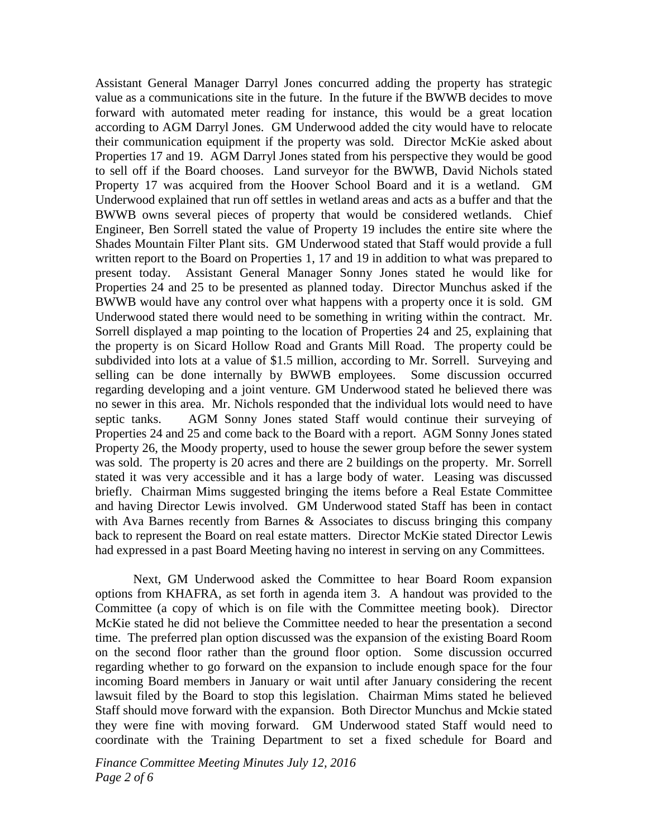Assistant General Manager Darryl Jones concurred adding the property has strategic value as a communications site in the future. In the future if the BWWB decides to move forward with automated meter reading for instance, this would be a great location according to AGM Darryl Jones. GM Underwood added the city would have to relocate their communication equipment if the property was sold. Director McKie asked about Properties 17 and 19. AGM Darryl Jones stated from his perspective they would be good to sell off if the Board chooses. Land surveyor for the BWWB, David Nichols stated Property 17 was acquired from the Hoover School Board and it is a wetland. GM Underwood explained that run off settles in wetland areas and acts as a buffer and that the BWWB owns several pieces of property that would be considered wetlands. Chief Engineer, Ben Sorrell stated the value of Property 19 includes the entire site where the Shades Mountain Filter Plant sits. GM Underwood stated that Staff would provide a full written report to the Board on Properties 1, 17 and 19 in addition to what was prepared to present today. Assistant General Manager Sonny Jones stated he would like for Properties 24 and 25 to be presented as planned today. Director Munchus asked if the BWWB would have any control over what happens with a property once it is sold. GM Underwood stated there would need to be something in writing within the contract. Mr. Sorrell displayed a map pointing to the location of Properties 24 and 25, explaining that the property is on Sicard Hollow Road and Grants Mill Road. The property could be subdivided into lots at a value of \$1.5 million, according to Mr. Sorrell. Surveying and selling can be done internally by BWWB employees. Some discussion occurred regarding developing and a joint venture. GM Underwood stated he believed there was no sewer in this area. Mr. Nichols responded that the individual lots would need to have septic tanks. AGM Sonny Jones stated Staff would continue their surveying of Properties 24 and 25 and come back to the Board with a report. AGM Sonny Jones stated Property 26, the Moody property, used to house the sewer group before the sewer system was sold. The property is 20 acres and there are 2 buildings on the property. Mr. Sorrell stated it was very accessible and it has a large body of water. Leasing was discussed briefly. Chairman Mims suggested bringing the items before a Real Estate Committee and having Director Lewis involved. GM Underwood stated Staff has been in contact with Ava Barnes recently from Barnes & Associates to discuss bringing this company back to represent the Board on real estate matters. Director McKie stated Director Lewis had expressed in a past Board Meeting having no interest in serving on any Committees.

Next, GM Underwood asked the Committee to hear Board Room expansion options from KHAFRA, as set forth in agenda item 3. A handout was provided to the Committee (a copy of which is on file with the Committee meeting book). Director McKie stated he did not believe the Committee needed to hear the presentation a second time. The preferred plan option discussed was the expansion of the existing Board Room on the second floor rather than the ground floor option. Some discussion occurred regarding whether to go forward on the expansion to include enough space for the four incoming Board members in January or wait until after January considering the recent lawsuit filed by the Board to stop this legislation. Chairman Mims stated he believed Staff should move forward with the expansion. Both Director Munchus and Mckie stated they were fine with moving forward. GM Underwood stated Staff would need to coordinate with the Training Department to set a fixed schedule for Board and

*Finance Committee Meeting Minutes July 12, 2016 Page 2 of 6*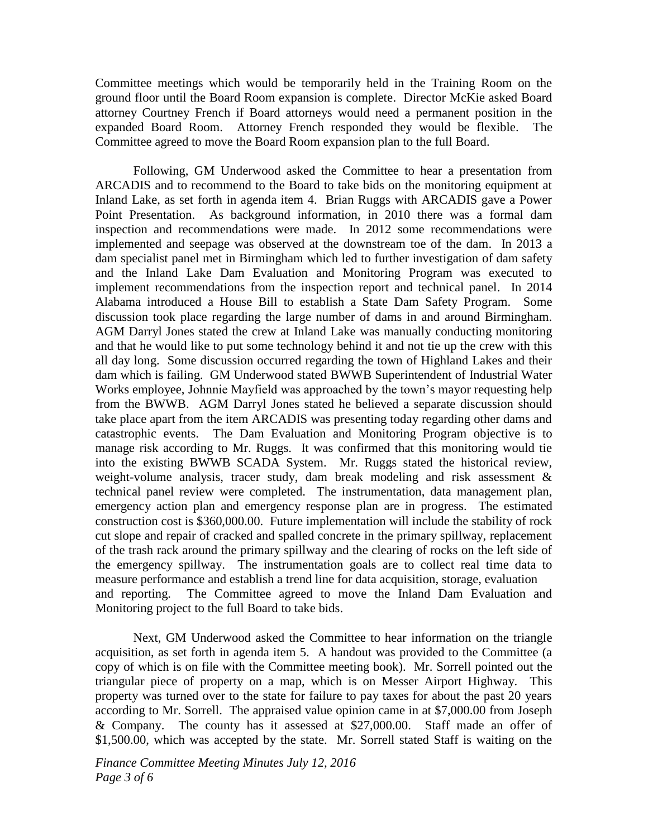Committee meetings which would be temporarily held in the Training Room on the ground floor until the Board Room expansion is complete. Director McKie asked Board attorney Courtney French if Board attorneys would need a permanent position in the expanded Board Room. Attorney French responded they would be flexible. The Committee agreed to move the Board Room expansion plan to the full Board.

Following, GM Underwood asked the Committee to hear a presentation from ARCADIS and to recommend to the Board to take bids on the monitoring equipment at Inland Lake, as set forth in agenda item 4. Brian Ruggs with ARCADIS gave a Power Point Presentation. As background information, in 2010 there was a formal dam inspection and recommendations were made. In 2012 some recommendations were implemented and seepage was observed at the downstream toe of the dam. In 2013 a dam specialist panel met in Birmingham which led to further investigation of dam safety and the Inland Lake Dam Evaluation and Monitoring Program was executed to implement recommendations from the inspection report and technical panel. In 2014 Alabama introduced a House Bill to establish a State Dam Safety Program. Some discussion took place regarding the large number of dams in and around Birmingham. AGM Darryl Jones stated the crew at Inland Lake was manually conducting monitoring and that he would like to put some technology behind it and not tie up the crew with this all day long. Some discussion occurred regarding the town of Highland Lakes and their dam which is failing. GM Underwood stated BWWB Superintendent of Industrial Water Works employee, Johnnie Mayfield was approached by the town's mayor requesting help from the BWWB. AGM Darryl Jones stated he believed a separate discussion should take place apart from the item ARCADIS was presenting today regarding other dams and catastrophic events. The Dam Evaluation and Monitoring Program objective is to manage risk according to Mr. Ruggs. It was confirmed that this monitoring would tie into the existing BWWB SCADA System. Mr. Ruggs stated the historical review, weight-volume analysis, tracer study, dam break modeling and risk assessment & technical panel review were completed. The instrumentation, data management plan, emergency action plan and emergency response plan are in progress. The estimated construction cost is \$360,000.00. Future implementation will include the stability of rock cut slope and repair of cracked and spalled concrete in the primary spillway, replacement of the trash rack around the primary spillway and the clearing of rocks on the left side of the emergency spillway. The instrumentation goals are to collect real time data to measure performance and establish a trend line for data acquisition, storage, evaluation and reporting. The Committee agreed to move the Inland Dam Evaluation and Monitoring project to the full Board to take bids.

Next, GM Underwood asked the Committee to hear information on the triangle acquisition, as set forth in agenda item 5. A handout was provided to the Committee (a copy of which is on file with the Committee meeting book). Mr. Sorrell pointed out the triangular piece of property on a map, which is on Messer Airport Highway. This property was turned over to the state for failure to pay taxes for about the past 20 years according to Mr. Sorrell. The appraised value opinion came in at \$7,000.00 from Joseph & Company. The county has it assessed at \$27,000.00. Staff made an offer of \$1,500.00, which was accepted by the state. Mr. Sorrell stated Staff is waiting on the

*Finance Committee Meeting Minutes July 12, 2016 Page 3 of 6*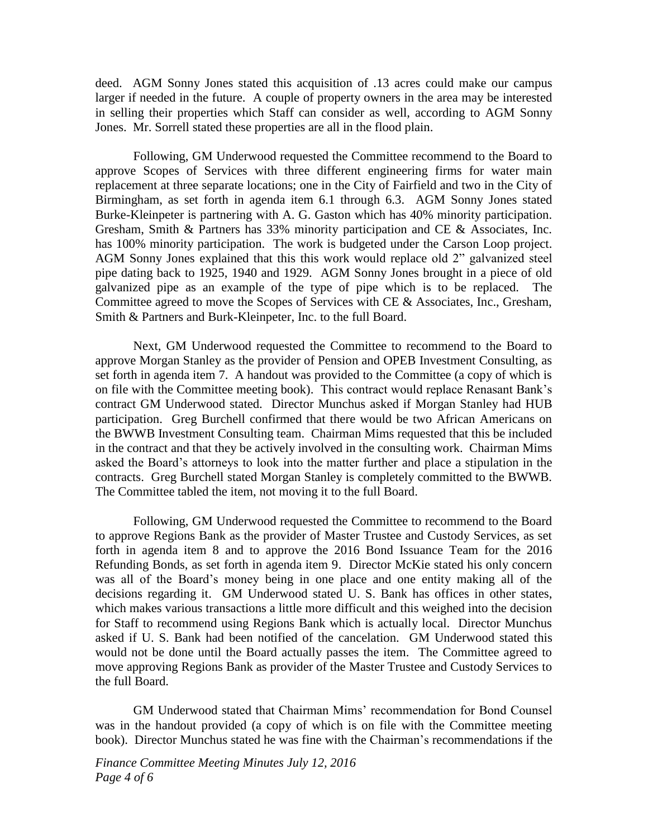deed. AGM Sonny Jones stated this acquisition of .13 acres could make our campus larger if needed in the future. A couple of property owners in the area may be interested in selling their properties which Staff can consider as well, according to AGM Sonny Jones. Mr. Sorrell stated these properties are all in the flood plain.

Following, GM Underwood requested the Committee recommend to the Board to approve Scopes of Services with three different engineering firms for water main replacement at three separate locations; one in the City of Fairfield and two in the City of Birmingham, as set forth in agenda item 6.1 through 6.3. AGM Sonny Jones stated Burke-Kleinpeter is partnering with A. G. Gaston which has 40% minority participation. Gresham, Smith & Partners has 33% minority participation and CE & Associates, Inc. has 100% minority participation. The work is budgeted under the Carson Loop project. AGM Sonny Jones explained that this this work would replace old 2" galvanized steel pipe dating back to 1925, 1940 and 1929. AGM Sonny Jones brought in a piece of old galvanized pipe as an example of the type of pipe which is to be replaced. The Committee agreed to move the Scopes of Services with CE & Associates, Inc., Gresham, Smith & Partners and Burk-Kleinpeter, Inc. to the full Board.

Next, GM Underwood requested the Committee to recommend to the Board to approve Morgan Stanley as the provider of Pension and OPEB Investment Consulting, as set forth in agenda item 7. A handout was provided to the Committee (a copy of which is on file with the Committee meeting book). This contract would replace Renasant Bank's contract GM Underwood stated. Director Munchus asked if Morgan Stanley had HUB participation. Greg Burchell confirmed that there would be two African Americans on the BWWB Investment Consulting team. Chairman Mims requested that this be included in the contract and that they be actively involved in the consulting work. Chairman Mims asked the Board's attorneys to look into the matter further and place a stipulation in the contracts. Greg Burchell stated Morgan Stanley is completely committed to the BWWB. The Committee tabled the item, not moving it to the full Board.

Following, GM Underwood requested the Committee to recommend to the Board to approve Regions Bank as the provider of Master Trustee and Custody Services, as set forth in agenda item 8 and to approve the 2016 Bond Issuance Team for the 2016 Refunding Bonds, as set forth in agenda item 9. Director McKie stated his only concern was all of the Board's money being in one place and one entity making all of the decisions regarding it. GM Underwood stated U. S. Bank has offices in other states, which makes various transactions a little more difficult and this weighed into the decision for Staff to recommend using Regions Bank which is actually local. Director Munchus asked if U. S. Bank had been notified of the cancelation. GM Underwood stated this would not be done until the Board actually passes the item. The Committee agreed to move approving Regions Bank as provider of the Master Trustee and Custody Services to the full Board.

GM Underwood stated that Chairman Mims' recommendation for Bond Counsel was in the handout provided (a copy of which is on file with the Committee meeting book). Director Munchus stated he was fine with the Chairman's recommendations if the

*Finance Committee Meeting Minutes July 12, 2016 Page 4 of 6*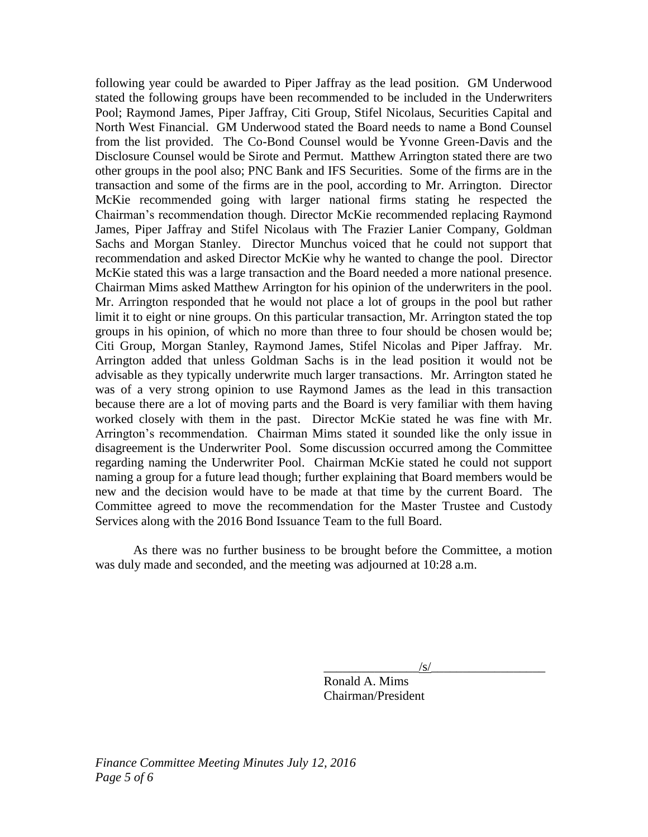following year could be awarded to Piper Jaffray as the lead position. GM Underwood stated the following groups have been recommended to be included in the Underwriters Pool; Raymond James, Piper Jaffray, Citi Group, Stifel Nicolaus, Securities Capital and North West Financial. GM Underwood stated the Board needs to name a Bond Counsel from the list provided. The Co-Bond Counsel would be Yvonne Green-Davis and the Disclosure Counsel would be Sirote and Permut. Matthew Arrington stated there are two other groups in the pool also; PNC Bank and IFS Securities. Some of the firms are in the transaction and some of the firms are in the pool, according to Mr. Arrington. Director McKie recommended going with larger national firms stating he respected the Chairman's recommendation though. Director McKie recommended replacing Raymond James, Piper Jaffray and Stifel Nicolaus with The Frazier Lanier Company, Goldman Sachs and Morgan Stanley. Director Munchus voiced that he could not support that recommendation and asked Director McKie why he wanted to change the pool. Director McKie stated this was a large transaction and the Board needed a more national presence. Chairman Mims asked Matthew Arrington for his opinion of the underwriters in the pool. Mr. Arrington responded that he would not place a lot of groups in the pool but rather limit it to eight or nine groups. On this particular transaction, Mr. Arrington stated the top groups in his opinion, of which no more than three to four should be chosen would be; Citi Group, Morgan Stanley, Raymond James, Stifel Nicolas and Piper Jaffray. Mr. Arrington added that unless Goldman Sachs is in the lead position it would not be advisable as they typically underwrite much larger transactions. Mr. Arrington stated he was of a very strong opinion to use Raymond James as the lead in this transaction because there are a lot of moving parts and the Board is very familiar with them having worked closely with them in the past. Director McKie stated he was fine with Mr. Arrington's recommendation. Chairman Mims stated it sounded like the only issue in disagreement is the Underwriter Pool. Some discussion occurred among the Committee regarding naming the Underwriter Pool. Chairman McKie stated he could not support naming a group for a future lead though; further explaining that Board members would be new and the decision would have to be made at that time by the current Board. The Committee agreed to move the recommendation for the Master Trustee and Custody Services along with the 2016 Bond Issuance Team to the full Board.

As there was no further business to be brought before the Committee, a motion was duly made and seconded, and the meeting was adjourned at 10:28 a.m.

 $\sqrt{s/}$ 

Ronald A. Mims Chairman/President